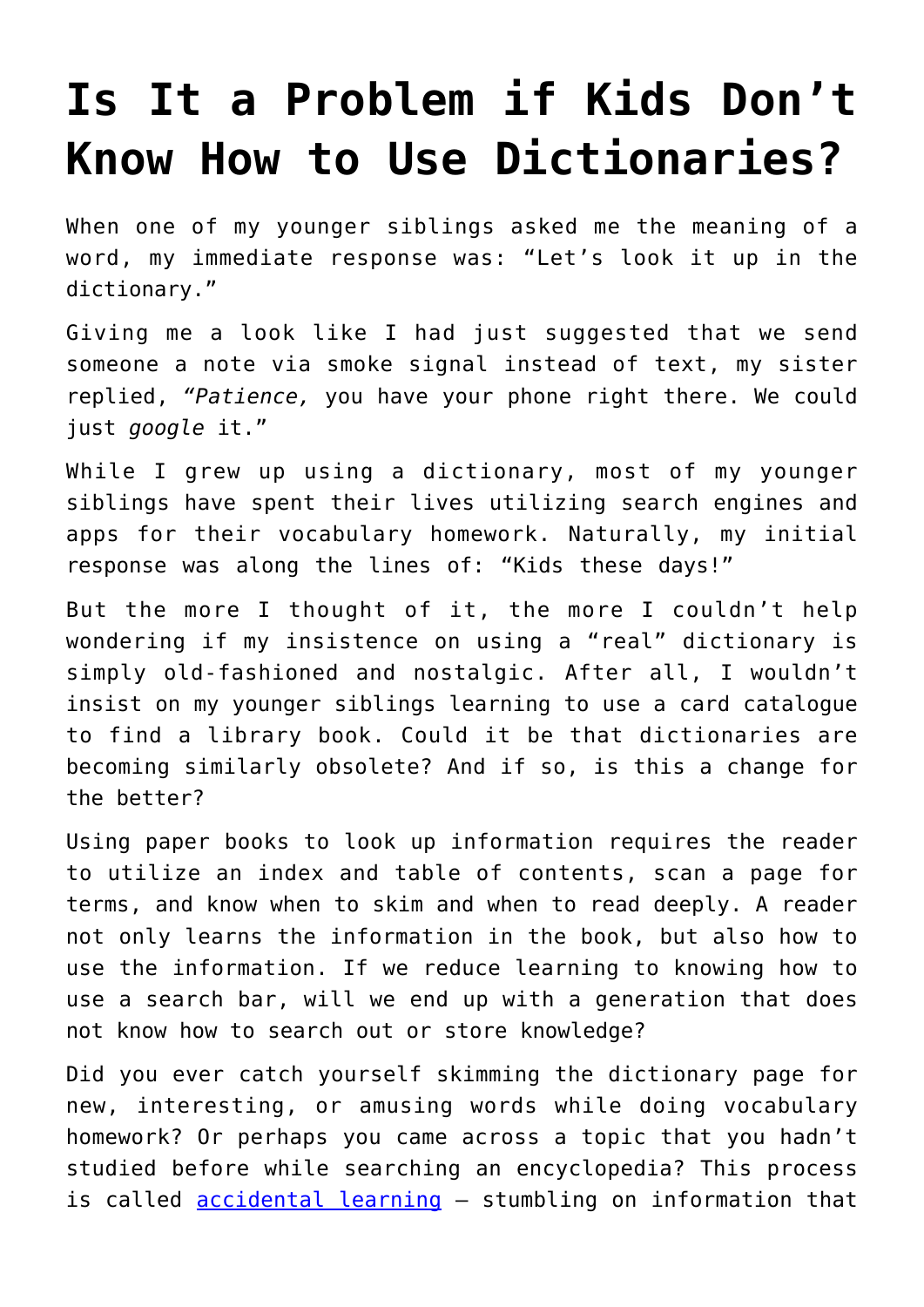## **[Is It a Problem if Kids Don't](https://intellectualtakeout.org/2018/07/is-it-a-problem-if-kids-dont-know-how-to-use-dictionaries/) [Know How to Use Dictionaries?](https://intellectualtakeout.org/2018/07/is-it-a-problem-if-kids-dont-know-how-to-use-dictionaries/)**

When one of my younger siblings asked me the meaning of a word, my immediate response was: "Let's look it up in the dictionary."

Giving me a look like I had just suggested that we send someone a note via smoke signal instead of text, my sister replied, *"Patience,* you have your phone right there. We could just *google* it."

While I grew up using a dictionary, most of my younger siblings have spent their lives utilizing search engines and apps for their vocabulary homework. Naturally, my initial response was along the lines of: "Kids these days!"

But the more I thought of it, the more I couldn't help wondering if my insistence on using a "real" dictionary is simply old-fashioned and nostalgic. After all, I wouldn't insist on my younger siblings learning to use a card catalogue to find a library book. Could it be that dictionaries are becoming similarly obsolete? And if so, is this a change for the better?

Using paper books to look up information requires the reader to utilize an index and table of contents, scan a page for terms, and know when to skim and when to read deeply. A reader not only learns the information in the book, but also how to use the information. If we reduce learning to knowing how to use a search bar, will we end up with a generation that does not know how to search out or store knowledge?

Did you ever catch yourself skimming the dictionary page for new, interesting, or amusing words while doing vocabulary homework? Or perhaps you came across a topic that you hadn't studied before while searching an encyclopedia? This process is called [accidental learning](https://www.edutopia.org/accidental-learning-teaching) – stumbling on information that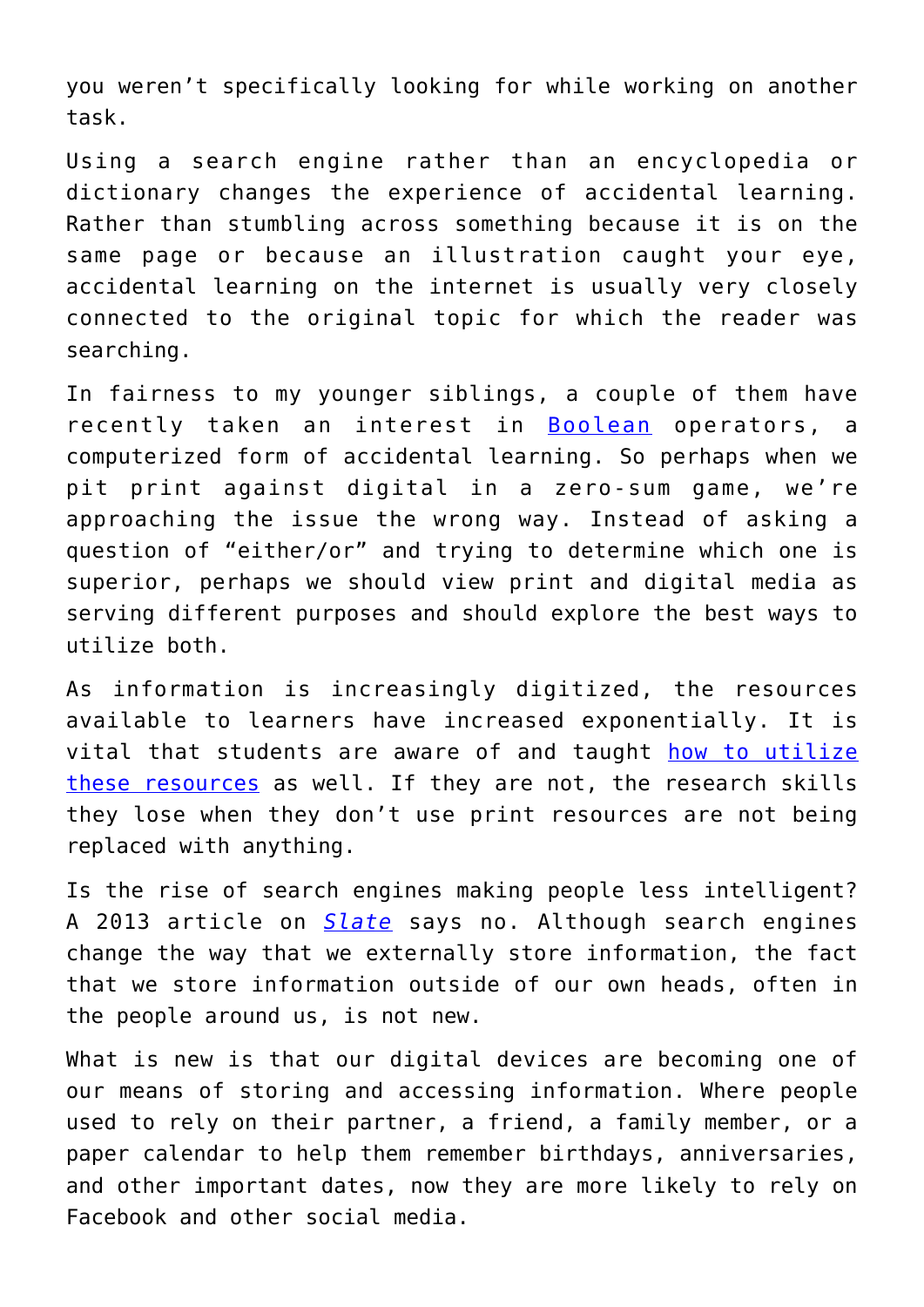you weren't specifically looking for while working on another task.

Using a search engine rather than an encyclopedia or dictionary changes the experience of accidental learning. Rather than stumbling across something because it is on the same page or because an illustration caught your eye, accidental learning on the internet is usually very closely connected to the original topic for which the reader was searching.

In fairness to my younger siblings, a couple of them have recently taken an interest in **[Boolean](https://libguides.mit.edu/c.php?g=175963&p=1158594)** operators, a computerized form of accidental learning. So perhaps when we pit print against digital in a zero-sum game, we're approaching the issue the wrong way. Instead of asking a question of "either/or" and trying to determine which one is superior, perhaps we should view print and digital media as serving different purposes and should explore the best ways to utilize both.

As information is increasingly digitized, the resources available to learners have increased exponentially. It is vital that students are aware of and taught [how to utilize](https://theconversation.com/us-study-shows-google-has-changed-the-way-students-research-and-not-for-the-better-3087) [these resources](https://theconversation.com/us-study-shows-google-has-changed-the-way-students-research-and-not-for-the-better-3087) as well. If they are not, the research skills they lose when they don't use print resources are not being replaced with anything.

Is the rise of search engines making people less intelligent? A 2013 article on *[Slate](http://www.slate.com/articles/health_and_science/science/2013/09/are_search_engines_and_the_internet_hurting_human_memory.html)* says no. Although search engines change the way that we externally store information, the fact that we store information outside of our own heads, often in the people around us, is not new.

What is new is that our digital devices are becoming one of our means of storing and accessing information. Where people used to rely on their partner, a friend, a family member, or a paper calendar to help them remember birthdays, anniversaries, and other important dates, now they are more likely to rely on Facebook and other social media.